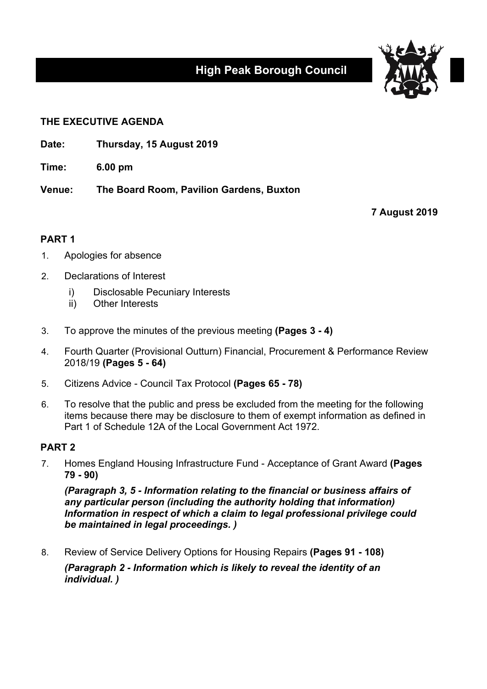# **High Peak Borough Council**



## **THE EXECUTIVE AGENDA**

**Date: Thursday, 15 August 2019**

**Time: 6.00 pm**

**Venue: The Board Room, Pavilion Gardens, Buxton**

**7 August 2019**

# **PART 1**

- 1. Apologies for absence
- 2. Declarations of Interest
	- i) Disclosable Pecuniary Interests
	- ii) Other Interests
- 3. To approve the minutes of the previous meeting **(Pages 3 - 4)**
- 4. Fourth Quarter (Provisional Outturn) Financial, Procurement & Performance Review 2018/19 **(Pages 5 - 64)**
- 5. Citizens Advice Council Tax Protocol **(Pages 65 - 78)**
- 6. To resolve that the public and press be excluded from the meeting for the following items because there may be disclosure to them of exempt information as defined in Part 1 of Schedule 12A of the Local Government Act 1972.

## **PART 2**

7. Homes England Housing Infrastructure Fund - Acceptance of Grant Award **(Pages 79 - 90)**

*(Paragraph 3, 5 - Information relating to the financial or business affairs of any particular person (including the authority holding that information) Information in respect of which a claim to legal professional privilege could be maintained in legal proceedings. )*

8. Review of Service Delivery Options for Housing Repairs **(Pages 91 - 108)**

*(Paragraph 2 - Information which is likely to reveal the identity of an individual. )*